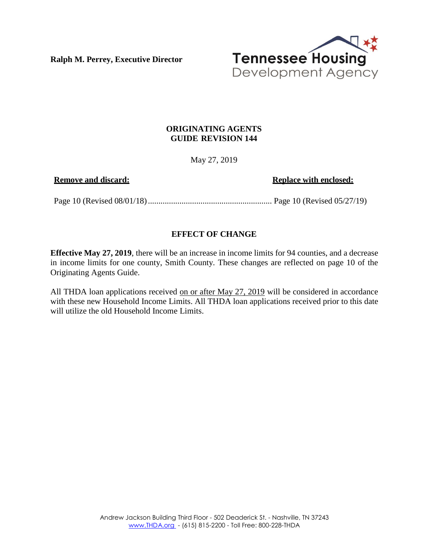**Ralph M. Perrey, Executive Director**



## **ORIGINATING AGENTS GUIDE REVISION 144**

May 27, 2019

**Remove** and discard: **Replace Replace** with **enclosed:** 

Page 10 (Revised 08/01/18)........................................................... Page 10 (Revised 05/27/19)

## **EFFECT OF CHANGE**

**Effective May 27, 2019**, there will be an increase in income limits for 94 counties, and a decrease in income limits for one county, Smith County. These changes are reflected on page 10 of the Originating Agents Guide.

All THDA loan applications received on or after May 27, 2019 will be considered in accordance with these new Household Income Limits. All THDA loan applications received prior to this date will utilize the old Household Income Limits.